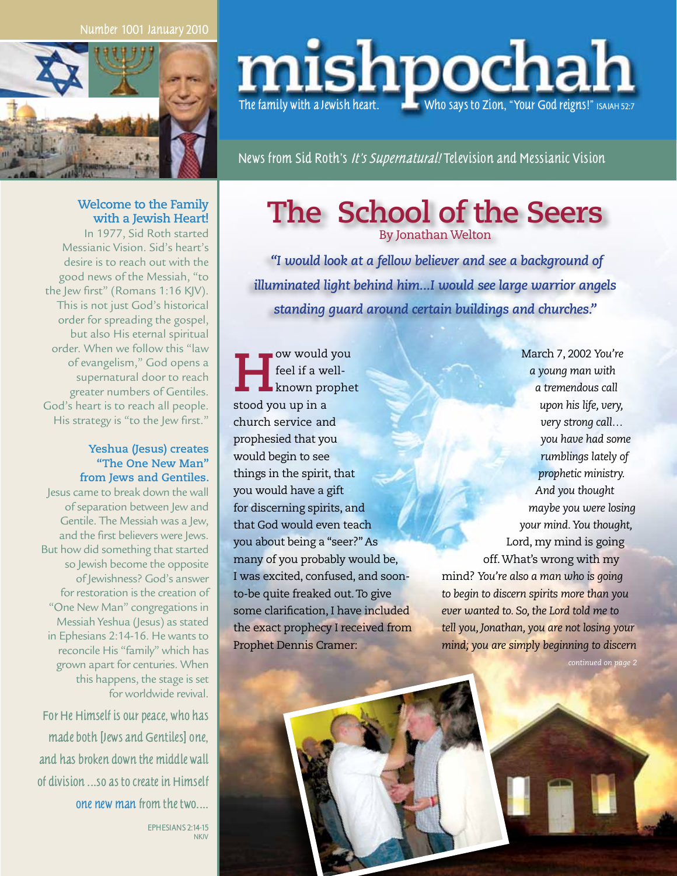Number 1001 January 2010





News from Sid Roth's It's Supernatural! Television and Messianic Vision

### **Welcome to the Family with a Jewish Heart!**

In 1977, Sid Roth started Messianic Vision. Sid's heart's desire is to reach out with the good news of the Messiah, "to the Jew first" (Romans 1:16 KJV). This is not just God's historical order for spreading the gospel, but also His eternal spiritual order. When we follow this "law of evangelism," God opens a supernatural door to reach greater numbers of Gentiles. God's heart is to reach all people. His strategy is "to the Jew first."

#### **Yeshua (Jesus) creates "The One New Man" from Jews and Gentiles.**

Jesus came to break down the wall of separation between Jew and Gentile. The Messiah was a Jew, and the first believers were Jews. But how did something that started so Jewish become the opposite of Jewishness? God's answer for restoration is the creation of "One New Man" congregations in Messiah Yeshua (Jesus) as stated in Ephesians 2:14-16. He wants to reconcile His "family" which has grown apart for centuries. When this happens, the stage is set for worldwide revival.

For He Himself is our peace, who has made both [Jews and Gentiles] one, and has broken down the middle wall of division ...so as to create in Himself one new man from the two....

> EPHESIANS 2:14-15 NKJV

## **The School of the Seers** By Jonathan Welton

 *"I would look at a fellow believer and see a background of illuminated light behind him...I would see large warrior angels standing guard around certain buildings and churches."*

**H**ow would you<br>
feel if a well-<br>
known prophe feel if a wellknown prophet stood you up in a church service and prophesied that you would begin to see things in the spirit, that you would have a gift for discerning spirits, and that God would even teach you about being a "seer?" As many of you probably would be, I was excited, confused, and soonto-be quite freaked out. To give some clarification, I have included the exact prophecy I received from Prophet Dennis Cramer:

March 7, 2002 *You're a young man with a tremendous call upon his life, very, very strong call… you have had some rumblings lately of prophetic ministry. And you thought maybe you were losing your mind. You thought,*  Lord, my mind is going off. What's wrong with my mind? *You're also a man who is going to begin to discern spirits more than you ever wanted to. So, the Lord told me to tell you, Jonathan, you are not losing your mind; you are simply beginning to discern* 

*continued on page 2*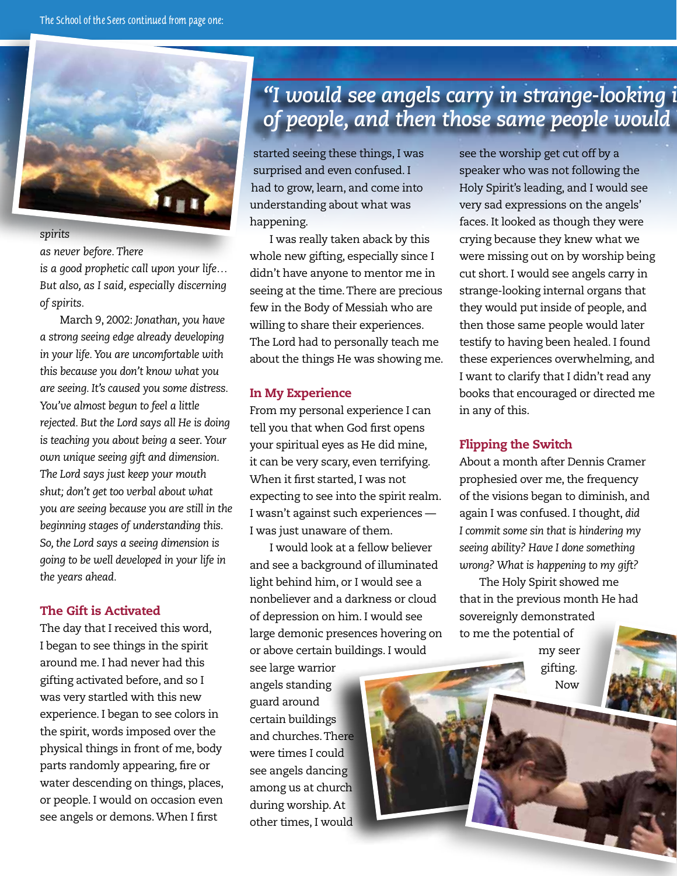

*spirits* 

*as never before. There is a good prophetic call upon your life… But also, as I said, especially discerning of spirits.*

March 9, 2002: *Jonathan, you have a strong seeing edge already developing in your life. You are uncomfortable with this because you don't know what you are seeing. It's caused you some distress. You've almost begun to feel a little rejected. But the Lord says all He is doing is teaching you about being a* seer. *Your own unique seeing gift and dimension. The Lord says just keep your mouth shut; don't get too verbal about what you are seeing because you are still in the beginning stages of understanding this. So, the Lord says a seeing dimension is going to be well developed in your life in the years ahead.*

### The Gift is Activated

The day that I received this word, I began to see things in the spirit around me. I had never had this gifting activated before, and so I was very startled with this new experience. I began to see colors in the spirit, words imposed over the physical things in front of me, body parts randomly appearing, fire or water descending on things, places, or people. I would on occasion even see angels or demons. When I first

# "I would see angels carry in strange-looking i of people, and then those same people would

started seeing these things, I was surprised and even confused. I had to grow, learn, and come into understanding about what was happening.

I was really taken aback by this whole new gifting, especially since I didn't have anyone to mentor me in seeing at the time. There are precious few in the Body of Messiah who are willing to share their experiences. The Lord had to personally teach me about the things He was showing me.

#### In My Experience

From my personal experience I can tell you that when God first opens your spiritual eyes as He did mine, it can be very scary, even terrifying. When it first started, I was not expecting to see into the spirit realm. I wasn't against such experiences — I was just unaware of them.

I would look at a fellow believer and see a background of illuminated light behind him, or I would see a nonbeliever and a darkness or cloud of depression on him. I would see large demonic presences hovering on or above certain buildings. I would

see large warrior angels standing guard around certain buildings and churches. There were times I could see angels dancing among us at church during worship. At other times, I would

see the worship get cut off by a speaker who was not following the Holy Spirit's leading, and I would see very sad expressions on the angels' faces. It looked as though they were crying because they knew what we were missing out on by worship being cut short. I would see angels carry in strange-looking internal organs that they would put inside of people, and then those same people would later testify to having been healed. I found these experiences overwhelming, and I want to clarify that I didn't read any books that encouraged or directed me in any of this.

### Flipping the Switch

About a month after Dennis Cramer prophesied over me, the frequency of the visions began to diminish, and again I was confused. I thought, *did I commit some sin that is hindering my seeing ability? Have I done something wrong? What is happening to my gift?*

The Holy Spirit showed me that in the previous month He had sovereignly demonstrated to me the potential of

> my seer gifting. Now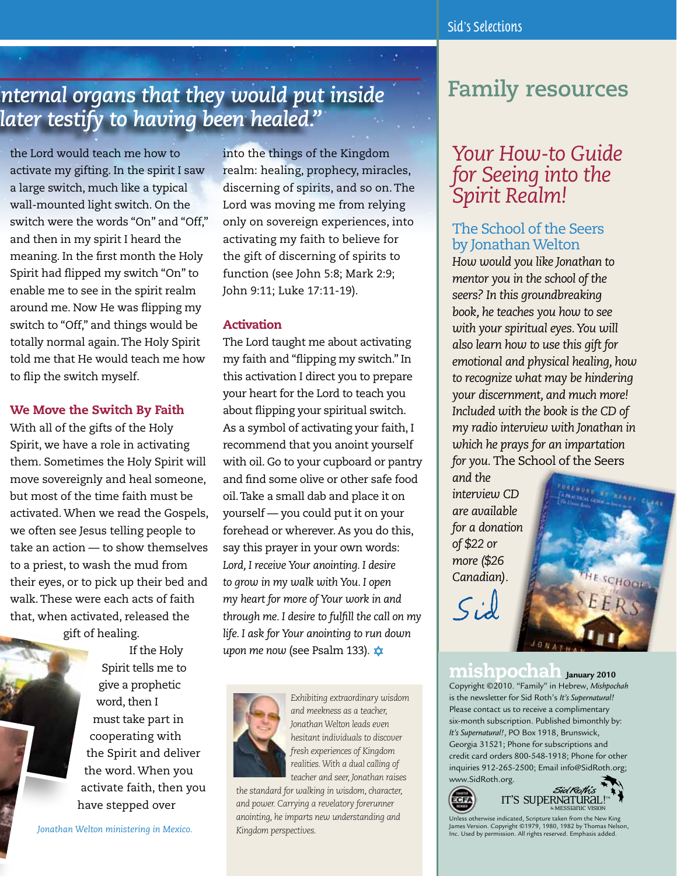# $\overline{I}$  internal organs that they would put inside *of people, and then those same people would later testify to having been healed."*

the Lord would teach me how to activate my gifting. In the spirit I saw a large switch, much like a typical wall-mounted light switch. On the switch were the words "On" and "Off," and then in my spirit I heard the meaning. In the first month the Holy Spirit had flipped my switch "On" to enable me to see in the spirit realm around me. Now He was flipping my switch to "Off," and things would be totally normal again. The Holy Spirit told me that He would teach me how to flip the switch myself.

### We Move the Switch By Faith

With all of the gifts of the Holy Spirit, we have a role in activating them. Sometimes the Holy Spirit will move sovereignly and heal someone, but most of the time faith must be activated. When we read the Gospels, we often see Jesus telling people to take an action — to show themselves to a priest, to wash the mud from their eyes, or to pick up their bed and walk. These were each acts of faith that, when activated, released the gift of healing.

> If the Holy Spirit tells me to give a prophetic word, then I must take part in cooperating with the Spirit and deliver the word. When you activate faith, then you have stepped over

*Jonathan Welton ministering in Mexico.*

into the things of the Kingdom realm: healing, prophecy, miracles, discerning of spirits, and so on. The Lord was moving me from relying only on sovereign experiences, into activating my faith to believe for the gift of discerning of spirits to function (see John 5:8; Mark 2:9; John 9:11; Luke 17:11-19).

#### **Activation**

The Lord taught me about activating my faith and "flipping my switch." In this activation I direct you to prepare your heart for the Lord to teach you about flipping your spiritual switch. As a symbol of activating your faith, I recommend that you anoint yourself with oil. Go to your cupboard or pantry and find some olive or other safe food oil. Take a small dab and place it on yourself — you could put it on your forehead or wherever. As you do this, say this prayer in your own words: *Lord, I receive Your anointing. I desire to grow in my walk with You. I open my heart for more of Your work in and through me. I desire to fulfill the call on my life. I ask for Your anointing to run down upon me now* (see Psalm 133)*.*



*Exhibiting extraordinary wisdom and meekness as a teacher, Jonathan Welton leads even hesitant individuals to discover fresh experiences of Kingdom realities. With a dual calling of teacher and seer, Jonathan raises* 

*the standard for walking in wisdom, character, and power. Carrying a revelatory forerunner anointing, he imparts new understanding and Kingdom perspectives.*

## **Family resources**

### *Your How-to Guide for Seeing into the Spirit Realm!*

### The School of the Seers by Jonathan Welton

*How would you like Jonathan to mentor you in the school of the seers? In this groundbreaking book, he teaches you how to see with your spiritual eyes. You will also learn how to use this gift for emotional and physical healing, how to recognize what may be hindering your discernment, and much more! Included with the book is the CD of my radio interview with Jonathan in which he prays for an impartation for you.* The School of the Seers

*and the interview CD are available for a donation of \$22 or more (\$26 Canadian).*

Sid



### mishpochah **January 2010**

Copyright ©2010. "Family" in Hebrew, *Mishpochah* is the newsletter for Sid Roth's *It's Supernatural!* Please contact us to receive a complimentary six-month subscription. Published bimonthly by: *It's Supernatural!*, PO Box 1918, Brunswick, Georgia 31521; Phone for subscriptions and credit card orders 800-548-1918; Phone for other inquiries 912-265-2500; Email info@SidRoth.org; www.SidRoth.org.





Unless otherwise indicated, Scripture taken from the New King James Version. Copyright ©1979, 1980, 1982 by Thomas Nelson, Inc. Used by permission. All rights reserved. Emphasis added.